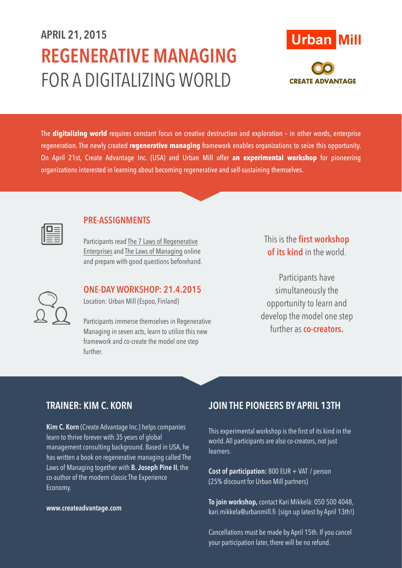# **APRIL 21, 2015 REGENERATIVE MANAGING** FOR A DIGITALIZING WORLD



The **digitalizing world** requires constant focus on creative destruction and exploration – in other words, enterprise regeneration. The newly created **regenerative managing** framework enables organizations to seize this opportunity. On April 21st, Create Advantage Inc. (USA) and Urban Mill offer **an experimental workshop** for pioneering organizations interested in learning about becoming regenerative and self-sustaining themselves.



### **PRE-ASSIGNMENTS**

Participants read The 7 Laws [of Regenerative](https://hbr.org/2014/11/the-7-laws-of-regenerative-enterprises)  Enterprises and The Laws [of Managing](http://www.createadvantage.com/content/laws-managing) online and prepare with good questions beforehand.

**ONE-DAY WORKSHOP: 21.4.2015** 

Location: Urban Mill (Espoo, Finland)

Participants immerse themselves in Regenerative Managing in seven acts, learn to utilize this new framework and co-create the model one step further.

This is the **first workshop of its kind** in the world.

Participants have simultaneously the opportunity to learn and develop the model one step further as **co-creators.**

## **TRAINER: KIM C. KORN**

**Kim C. Korn** (Create Advantage Inc.) helps companies learn to thrive forever with 35 years of global management consulting background. Based in USA, he has written a book on regenerative managing called The Laws of Managing together with **B. Joseph Pine II**, the co-author of the modern classic The Experience Economy.

#### **[www.createadvantage.com](http://www.createadvantage.com)**

### **JOIN THE PIONEERS BY APRIL 13TH**

This experimental workshop is the first of its kind in the world. All participants are also co-creators, not just learners.

**Cost of participation:** 800 EUR + VAT / person (25% discount for Urban Mill partners)

**To join workshop,** contact Kari Mikkelä: 050 500 4048, [kari.mikkela@urbanmill.fi](mailto:kari.mikkela@urbanmill.fi) (sign up latest by April 13th!)

Cancellations must be made by April 15th. If you cancel your participation later, there will be no refund.